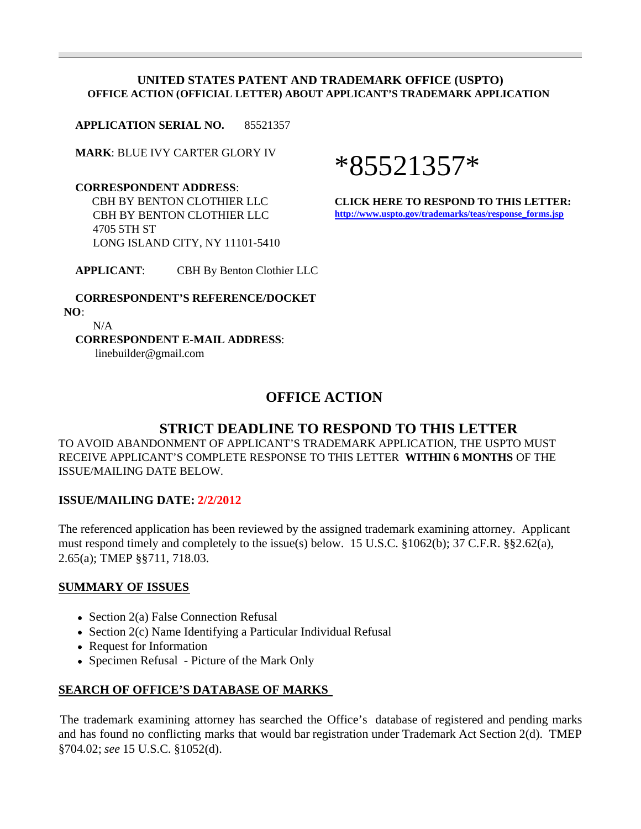#### **UNITED STATES PATENT AND TRADEMARK OFFICE (USPTO) OFFICE ACTION (OFFICIAL LETTER) ABOUT APPLICANT'S TRADEMARK APPLICATION**

**APPLICATION SERIAL NO.** 85521357

**MARK**: BLUE IVY CARTER GLORY IV

 **CORRESPONDENT ADDRESS**: CBH BY BENTON CLOTHIER LLC CBH BY BENTON CLOTHIER LLC 4705 5TH ST LONG ISLAND CITY, NY 11101-5410

\*85521357\*

**CLICK HERE TO RESPOND TO THIS LETTER: http://www.uspto.gov/trademarks/teas/response\_forms.jsp**

**APPLICANT**: CBH By Benton Clothier LLC

 **CORRESPONDENT'S REFERENCE/DOCKET NO**: N/A

 **CORRESPONDENT E-MAIL ADDRESS**: linebuilder@gmail.com

# **OFFICE ACTION**

## **STRICT DEADLINE TO RESPOND TO THIS LETTER**

TO AVOID ABANDONMENT OF APPLICANT'S TRADEMARK APPLICATION, THE USPTO MUST RECEIVE APPLICANT'S COMPLETE RESPONSE TO THIS LETTER **WITHIN 6 MONTHS** OF THE ISSUE/MAILING DATE BELOW.

#### **ISSUE/MAILING DATE: 2/2/2012**

The referenced application has been reviewed by the assigned trademark examining attorney. Applicant must respond timely and completely to the issue(s) below. 15 U.S.C. §1062(b); 37 C.F.R. §§2.62(a), 2.65(a); TMEP §§711, 718.03.

#### **SUMMARY OF ISSUES**

- Section 2(a) False Connection Refusal
- Section 2(c) Name Identifying a Particular Individual Refusal
- Request for Information
- Specimen Refusal Picture of the Mark Only

#### **SEARCH OF OFFICE'S DATABASE OF MARKS**

The trademark examining attorney has searched the Office's database of registered and pending marks and has found no conflicting marks that would bar registration under Trademark Act Section 2(d). TMEP §704.02; *see* 15 U.S.C. §1052(d).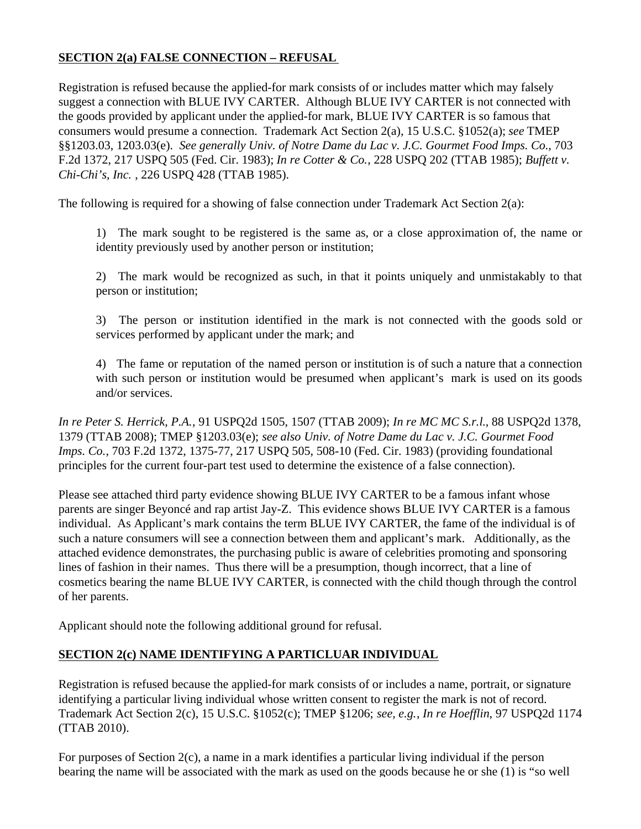## **SECTION 2(a) FALSE CONNECTION – REFUSAL**

Registration is refused because the applied-for mark consists of or includes matter which may falsely suggest a connection with BLUE IVY CARTER. Although BLUE IVY CARTER is not connected with the goods provided by applicant under the applied-for mark, BLUE IVY CARTER is so famous that consumers would presume a connection. Trademark Act Section 2(a), 15 U.S.C. §1052(a); *see* TMEP §§1203.03, 1203.03(e). *See generally Univ. of Notre Dame du Lac v. J.C. Gourmet Food Imps. Co.*, 703 F.2d 1372, 217 USPQ 505 (Fed. Cir. 1983); *In re Cotter & Co.*, 228 USPQ 202 (TTAB 1985); *Buffett v. Chi-Chi's, Inc.* , 226 USPQ 428 (TTAB 1985).

The following is required for a showing of false connection under Trademark Act Section 2(a):

1) The mark sought to be registered is the same as, or a close approximation of, the name or identity previously used by another person or institution;

2) The mark would be recognized as such, in that it points uniquely and unmistakably to that person or institution;

3) The person or institution identified in the mark is not connected with the goods sold or services performed by applicant under the mark; and

4) The fame or reputation of the named person or institution is of such a nature that a connection with such person or institution would be presumed when applicant's mark is used on its goods and/or services.

*In re Peter S. Herrick, P.A.*, 91 USPQ2d 1505, 1507 (TTAB 2009); *In re MC MC S.r.l.*, 88 USPQ2d 1378, 1379 (TTAB 2008); TMEP §1203.03(e); *see also Univ. of Notre Dame du Lac v. J.C. Gourmet Food Imps. Co.*, 703 F.2d 1372, 1375-77, 217 USPQ 505, 508-10 (Fed. Cir. 1983) (providing foundational principles for the current four-part test used to determine the existence of a false connection).

Please see attached third party evidence showing BLUE IVY CARTER to be a famous infant whose parents are singer Beyoncé and rap artist Jay-Z. This evidence shows BLUE IVY CARTER is a famous individual. As Applicant's mark contains the term BLUE IVY CARTER, the fame of the individual is of such a nature consumers will see a connection between them and applicant's mark. Additionally, as the attached evidence demonstrates, the purchasing public is aware of celebrities promoting and sponsoring lines of fashion in their names. Thus there will be a presumption, though incorrect, that a line of cosmetics bearing the name BLUE IVY CARTER, is connected with the child though through the control of her parents.

Applicant should note the following additional ground for refusal.

## **SECTION 2(c) NAME IDENTIFYING A PARTICLUAR INDIVIDUAL**

Registration is refused because the applied-for mark consists of or includes a name, portrait, or signature identifying a particular living individual whose written consent to register the mark is not of record. Trademark Act Section 2(c), 15 U.S.C. §1052(c); TMEP §1206; *see, e.g.*, *In re Hoefflin*, 97 USPQ2d 1174 (TTAB 2010).

For purposes of Section 2(c), a name in a mark identifies a particular living individual if the person bearing the name will be associated with the mark as used on the goods because he or she (1) is "so well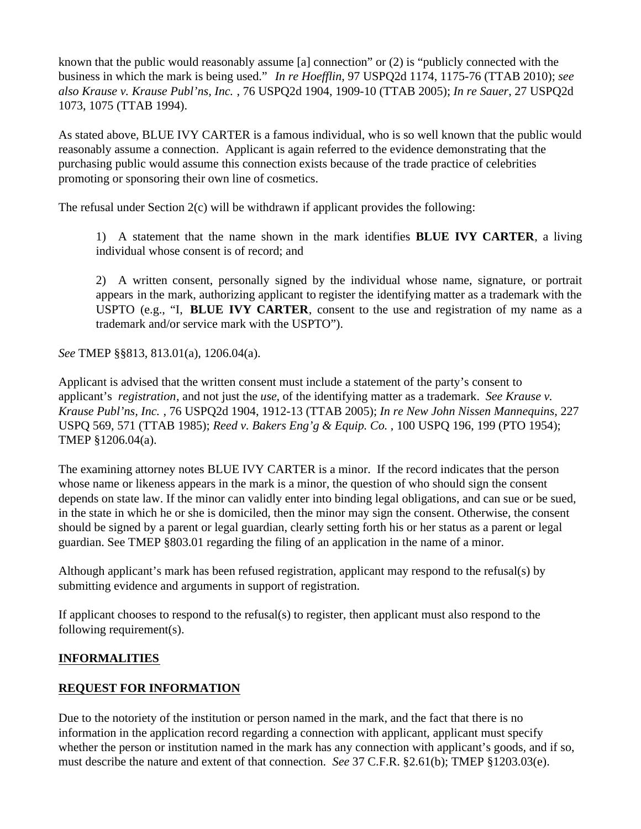known that the public would reasonably assume [a] connection" or (2) is "publicly connected with the business in which the mark is being used." *In re Hoefflin*, 97 USPQ2d 1174, 1175-76 (TTAB 2010); *see also Krause v. Krause Publ'ns, Inc.* , 76 USPQ2d 1904, 1909-10 (TTAB 2005); *In re Sauer*, 27 USPQ2d 1073, 1075 (TTAB 1994).

As stated above, BLUE IVY CARTER is a famous individual, who is so well known that the public would reasonably assume a connection. Applicant is again referred to the evidence demonstrating that the purchasing public would assume this connection exists because of the trade practice of celebrities promoting or sponsoring their own line of cosmetics.

The refusal under Section 2(c) will be withdrawn if applicant provides the following:

1) A statement that the name shown in the mark identifies **BLUE IVY CARTER**, a living individual whose consent is of record; and

2) A written consent, personally signed by the individual whose name, signature, or portrait appears in the mark, authorizing applicant to register the identifying matter as a trademark with the USPTO (e.g., "I, **BLUE IVY CARTER**, consent to the use and registration of my name as a trademark and/or service mark with the USPTO").

*See* TMEP §§813, 813.01(a), 1206.04(a).

Applicant is advised that the written consent must include a statement of the party's consent to applicant's *registration*, and not just the *use*, of the identifying matter as a trademark. *See Krause v. Krause Publ'ns, Inc.* , 76 USPQ2d 1904, 1912-13 (TTAB 2005); *In re New John Nissen Mannequins*, 227 USPQ 569, 571 (TTAB 1985); *Reed v. Bakers Eng'g & Equip. Co.* , 100 USPQ 196, 199 (PTO 1954); TMEP §1206.04(a).

The examining attorney notes BLUE IVY CARTER is a minor. If the record indicates that the person whose name or likeness appears in the mark is a minor, the question of who should sign the consent depends on state law. If the minor can validly enter into binding legal obligations, and can sue or be sued, in the state in which he or she is domiciled, then the minor may sign the consent. Otherwise, the consent should be signed by a parent or legal guardian, clearly setting forth his or her status as a parent or legal guardian. See TMEP §803.01 regarding the filing of an application in the name of a minor.

Although applicant's mark has been refused registration, applicant may respond to the refusal(s) by submitting evidence and arguments in support of registration.

If applicant chooses to respond to the refusal(s) to register, then applicant must also respond to the following requirement(s).

## **INFORMALITIES**

## **REQUEST FOR INFORMATION**

Due to the notoriety of the institution or person named in the mark, and the fact that there is no information in the application record regarding a connection with applicant, applicant must specify whether the person or institution named in the mark has any connection with applicant's goods, and if so, must describe the nature and extent of that connection. *See* 37 C.F.R. §2.61(b); TMEP §1203.03(e).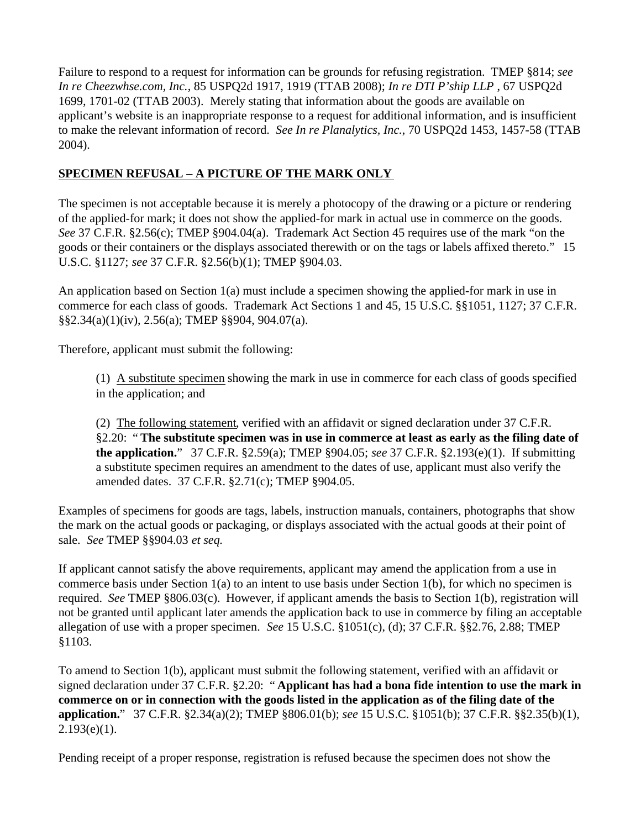Failure to respond to a request for information can be grounds for refusing registration. TMEP §814; *see In re Cheezwhse.com, Inc.*, 85 USPQ2d 1917, 1919 (TTAB 2008); *In re DTI P'ship LLP* , 67 USPQ2d 1699, 1701-02 (TTAB 2003). Merely stating that information about the goods are available on applicant's website is an inappropriate response to a request for additional information, and is insufficient to make the relevant information of record. *See In re Planalytics, Inc.*, 70 USPQ2d 1453, 1457-58 (TTAB 2004).

### **SPECIMEN REFUSAL – A PICTURE OF THE MARK ONLY**

The specimen is not acceptable because it is merely a photocopy of the drawing or a picture or rendering of the applied-for mark; it does not show the applied-for mark in actual use in commerce on the goods. *See* 37 C.F.R. §2.56(c); TMEP §904.04(a). Trademark Act Section 45 requires use of the mark "on the goods or their containers or the displays associated therewith or on the tags or labels affixed thereto." 15 U.S.C. §1127; *see* 37 C.F.R. §2.56(b)(1); TMEP §904.03.

An application based on Section 1(a) must include a specimen showing the applied-for mark in use in commerce for each class of goods. Trademark Act Sections 1 and 45, 15 U.S.C. §§1051, 1127; 37 C.F.R. §§2.34(a)(1)(iv), 2.56(a); TMEP §§904, 904.07(a).

Therefore, applicant must submit the following:

(1) A substitute specimen showing the mark in use in commerce for each class of goods specified in the application; and

(2) The following statement, verified with an affidavit or signed declaration under 37 C.F.R. §2.20: " **The substitute specimen was in use in commerce at least as early as the filing date of the application.**" 37 C.F.R. §2.59(a); TMEP §904.05; *see* 37 C.F.R. §2.193(e)(1). If submitting a substitute specimen requires an amendment to the dates of use, applicant must also verify the amended dates. 37 C.F.R. §2.71(c); TMEP §904.05.

Examples of specimens for goods are tags, labels, instruction manuals, containers, photographs that show the mark on the actual goods or packaging, or displays associated with the actual goods at their point of sale. *See* TMEP §§904.03 *et seq.*

If applicant cannot satisfy the above requirements, applicant may amend the application from a use in commerce basis under Section 1(a) to an intent to use basis under Section 1(b), for which no specimen is required. *See* TMEP §806.03(c). However, if applicant amends the basis to Section 1(b), registration will not be granted until applicant later amends the application back to use in commerce by filing an acceptable allegation of use with a proper specimen. *See* 15 U.S.C. §1051(c), (d); 37 C.F.R. §§2.76, 2.88; TMEP §1103.

To amend to Section 1(b), applicant must submit the following statement, verified with an affidavit or signed declaration under 37 C.F.R. §2.20: " **Applicant has had a bona fide intention to use the mark in commerce on or in connection with the goods listed in the application as of the filing date of the application.**" 37 C.F.R. §2.34(a)(2); TMEP §806.01(b); *see* 15 U.S.C. §1051(b); 37 C.F.R. §§2.35(b)(1),  $2.193(e)(1)$ .

Pending receipt of a proper response, registration is refused because the specimen does not show the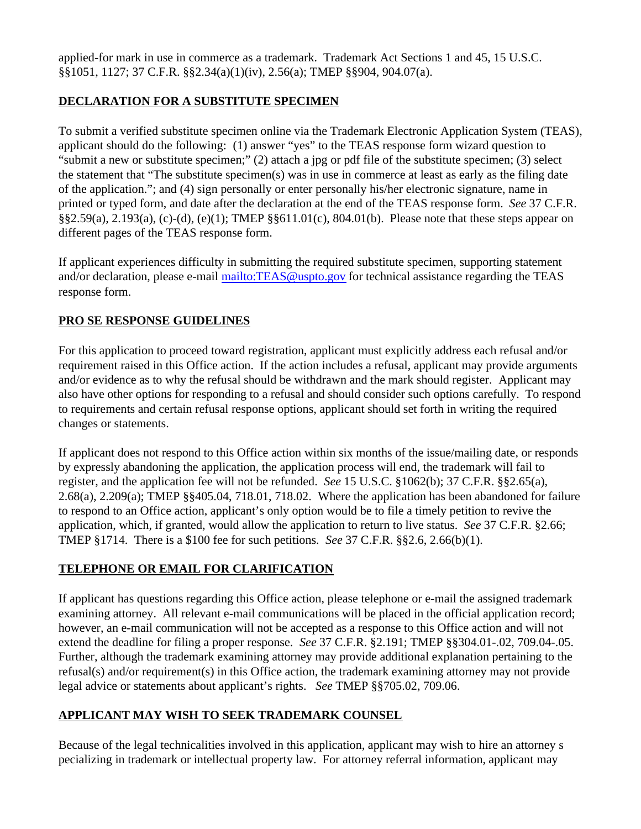applied-for mark in use in commerce as a trademark. Trademark Act Sections 1 and 45, 15 U.S.C. §§1051, 1127; 37 C.F.R. §§2.34(a)(1)(iv), 2.56(a); TMEP §§904, 904.07(a).

### **DECLARATION FOR A SUBSTITUTE SPECIMEN**

To submit a verified substitute specimen online via the Trademark Electronic Application System (TEAS), applicant should do the following: (1) answer "yes" to the TEAS response form wizard question to "submit a new or substitute specimen;" (2) attach a jpg or pdf file of the substitute specimen; (3) select the statement that "The substitute specimen(s) was in use in commerce at least as early as the filing date of the application."; and (4) sign personally or enter personally his/her electronic signature, name in printed or typed form, and date after the declaration at the end of the TEAS response form. *See* 37 C.F.R. §§2.59(a), 2.193(a), (c)-(d), (e)(1); TMEP §§611.01(c), 804.01(b). Please note that these steps appear on different pages of the TEAS response form.

If applicant experiences difficulty in submitting the required substitute specimen, supporting statement and/or declaration, please e-mail mailto:TEAS@uspto.gov for technical assistance regarding the TEAS response form.

### **PRO SE RESPONSE GUIDELINES**

For this application to proceed toward registration, applicant must explicitly address each refusal and/or requirement raised in this Office action. If the action includes a refusal, applicant may provide arguments and/or evidence as to why the refusal should be withdrawn and the mark should register. Applicant may also have other options for responding to a refusal and should consider such options carefully. To respond to requirements and certain refusal response options, applicant should set forth in writing the required changes or statements.

If applicant does not respond to this Office action within six months of the issue/mailing date, or responds by expressly abandoning the application, the application process will end, the trademark will fail to register, and the application fee will not be refunded. *See* 15 U.S.C. §1062(b); 37 C.F.R. §§2.65(a), 2.68(a), 2.209(a); TMEP §§405.04, 718.01, 718.02. Where the application has been abandoned for failure to respond to an Office action, applicant's only option would be to file a timely petition to revive the application, which, if granted, would allow the application to return to live status. *See* 37 C.F.R. §2.66; TMEP §1714. There is a \$100 fee for such petitions. *See* 37 C.F.R. §§2.6, 2.66(b)(1).

### **TELEPHONE OR EMAIL FOR CLARIFICATION**

If applicant has questions regarding this Office action, please telephone or e-mail the assigned trademark examining attorney. All relevant e-mail communications will be placed in the official application record; however, an e-mail communication will not be accepted as a response to this Office action and will not extend the deadline for filing a proper response. *See* 37 C.F.R. §2.191; TMEP §§304.01-.02, 709.04-.05. Further, although the trademark examining attorney may provide additional explanation pertaining to the refusal(s) and/or requirement(s) in this Office action, the trademark examining attorney may not provide legal advice or statements about applicant's rights. *See* TMEP §§705.02, 709.06.

### **APPLICANT MAY WISH TO SEEK TRADEMARK COUNSEL**

Because of the legal technicalities involved in this application, applicant may wish to hire an attorney s pecializing in trademark or intellectual property law. For attorney referral information, applicant may